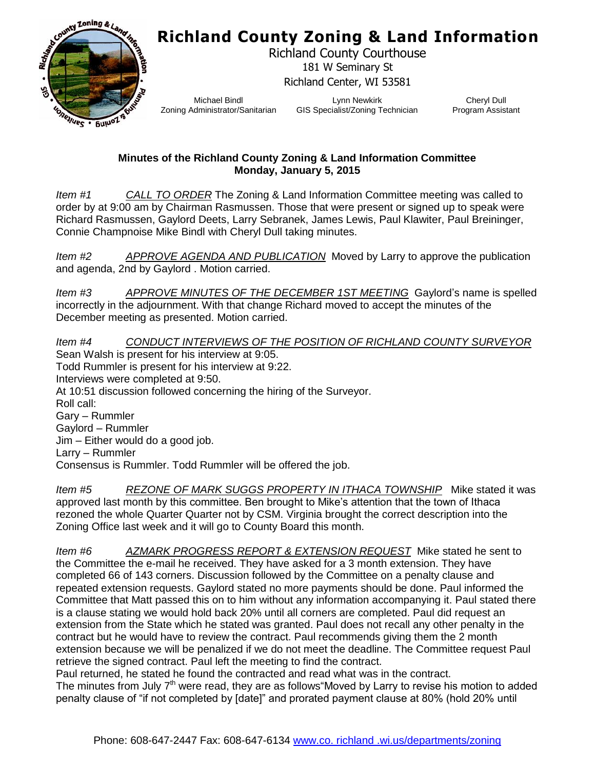## **Richland County Zoning & Land Information**



Richland County Courthouse 181 W Seminary St Richland Center, WI 53581

Michael Bindl Zoning Administrator/Sanitarian

Lynn Newkirk GIS Specialist/Zoning Technician

Cheryl Dull Program Assistant

## **Minutes of the Richland County Zoning & Land Information Committee Monday, January 5, 2015**

*Item #1 CALL TO ORDER* The Zoning & Land Information Committee meeting was called to order by at 9:00 am by Chairman Rasmussen. Those that were present or signed up to speak were Richard Rasmussen, Gaylord Deets, Larry Sebranek, James Lewis, Paul Klawiter, Paul Breininger, Connie Champnoise Mike Bindl with Cheryl Dull taking minutes.

*Item #2 APPROVE AGENDA AND PUBLICATION* Moved by Larry to approve the publication and agenda, 2nd by Gaylord . Motion carried.

*Item #3 APPROVE MINUTES OF THE DECEMBER 1ST MEETING* Gaylord's name is spelled incorrectly in the adjournment. With that change Richard moved to accept the minutes of the December meeting as presented. Motion carried.

*Item #4 CONDUCT INTERVIEWS OF THE POSITION OF RICHLAND COUNTY SURVEYOR* Sean Walsh is present for his interview at 9:05. Todd Rummler is present for his interview at 9:22. Interviews were completed at 9:50. At 10:51 discussion followed concerning the hiring of the Surveyor. Roll call: Gary – Rummler Gaylord – Rummler Jim – Either would do a good job. Larry – Rummler Consensus is Rummler. Todd Rummler will be offered the job.

*Item #5 REZONE OF MARK SUGGS PROPERTY IN ITHACA TOWNSHIP* Mike stated it was approved last month by this committee. Ben brought to Mike's attention that the town of Ithaca rezoned the whole Quarter Quarter not by CSM. Virginia brought the correct description into the Zoning Office last week and it will go to County Board this month.

*Item #6 AZMARK PROGRESS REPORT & EXTENSION REQUEST* Mike stated he sent to the Committee the e-mail he received. They have asked for a 3 month extension. They have completed 66 of 143 corners. Discussion followed by the Committee on a penalty clause and repeated extension requests. Gaylord stated no more payments should be done. Paul informed the Committee that Matt passed this on to him without any information accompanying it. Paul stated there is a clause stating we would hold back 20% until all corners are completed. Paul did request an extension from the State which he stated was granted. Paul does not recall any other penalty in the contract but he would have to review the contract. Paul recommends giving them the 2 month extension because we will be penalized if we do not meet the deadline. The Committee request Paul retrieve the signed contract. Paul left the meeting to find the contract.

Paul returned, he stated he found the contracted and read what was in the contract. The minutes from July  $7<sup>th</sup>$  were read, they are as follows Moved by Larry to revise his motion to added penalty clause of "if not completed by [date]" and prorated payment clause at 80% (hold 20% until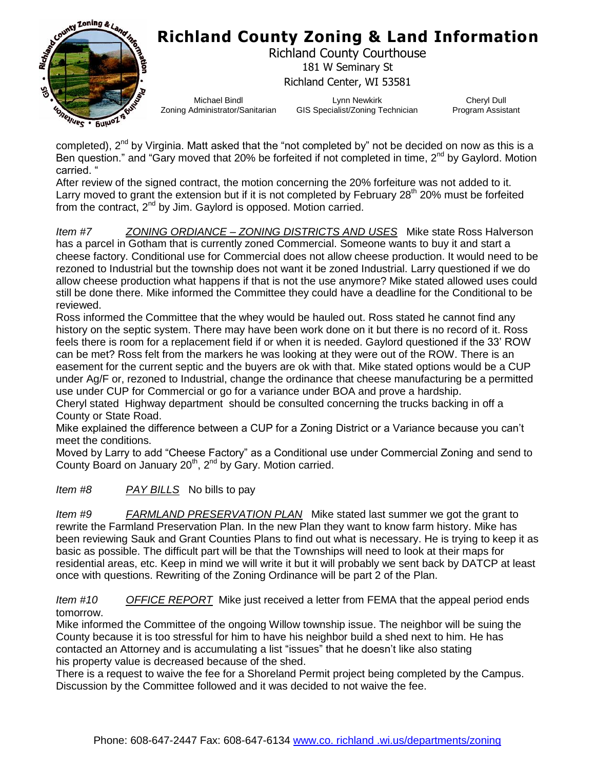

## **Richland County Zoning & Land Information**

Richland County Courthouse 181 W Seminary St Richland Center, WI 53581

Michael Bindl Zoning Administrator/Sanitarian

Lynn Newkirk GIS Specialist/Zoning Technician

Cheryl Dull Program Assistant

completed),  $2^{nd}$  by Virginia. Matt asked that the "not completed by" not be decided on now as this is a Ben question." and "Gary moved that 20% be forfeited if not completed in time, 2<sup>nd</sup> by Gaylord. Motion carried. "

After review of the signed contract, the motion concerning the 20% forfeiture was not added to it. Larry moved to grant the extension but if it is not completed by February  $28<sup>th</sup> 20%$  must be forfeited from the contract,  $2^{nd}$  by Jim. Gaylord is opposed. Motion carried.

*Item #7 ZONING ORDIANCE – ZONING DISTRICTS AND USES* Mike state Ross Halverson has a parcel in Gotham that is currently zoned Commercial. Someone wants to buy it and start a cheese factory. Conditional use for Commercial does not allow cheese production. It would need to be rezoned to Industrial but the township does not want it be zoned Industrial. Larry questioned if we do allow cheese production what happens if that is not the use anymore? Mike stated allowed uses could still be done there. Mike informed the Committee they could have a deadline for the Conditional to be reviewed.

Ross informed the Committee that the whey would be hauled out. Ross stated he cannot find any history on the septic system. There may have been work done on it but there is no record of it. Ross feels there is room for a replacement field if or when it is needed. Gaylord questioned if the 33' ROW can be met? Ross felt from the markers he was looking at they were out of the ROW. There is an easement for the current septic and the buyers are ok with that. Mike stated options would be a CUP under Ag/F or, rezoned to Industrial, change the ordinance that cheese manufacturing be a permitted use under CUP for Commercial or go for a variance under BOA and prove a hardship.

Cheryl stated Highway department should be consulted concerning the trucks backing in off a County or State Road.

Mike explained the difference between a CUP for a Zoning District or a Variance because you can't meet the conditions.

Moved by Larry to add "Cheese Factory" as a Conditional use under Commercial Zoning and send to County Board on January  $20<sup>th</sup>$ ,  $2<sup>nd</sup>$  by Gary. Motion carried.

*Item #8 PAY BILLS* No bills to pay

*Item #9 FARMLAND PRESERVATION PLAN* Mike stated last summer we got the grant to rewrite the Farmland Preservation Plan. In the new Plan they want to know farm history. Mike has been reviewing Sauk and Grant Counties Plans to find out what is necessary. He is trying to keep it as basic as possible. The difficult part will be that the Townships will need to look at their maps for residential areas, etc. Keep in mind we will write it but it will probably we sent back by DATCP at least once with questions. Rewriting of the Zoning Ordinance will be part 2 of the Plan.

*Item #10 OFFICE REPORT* Mike just received a letter from FEMA that the appeal period ends tomorrow.

Mike informed the Committee of the ongoing Willow township issue. The neighbor will be suing the County because it is too stressful for him to have his neighbor build a shed next to him. He has contacted an Attorney and is accumulating a list "issues" that he doesn't like also stating his property value is decreased because of the shed.

There is a request to waive the fee for a Shoreland Permit project being completed by the Campus. Discussion by the Committee followed and it was decided to not waive the fee.